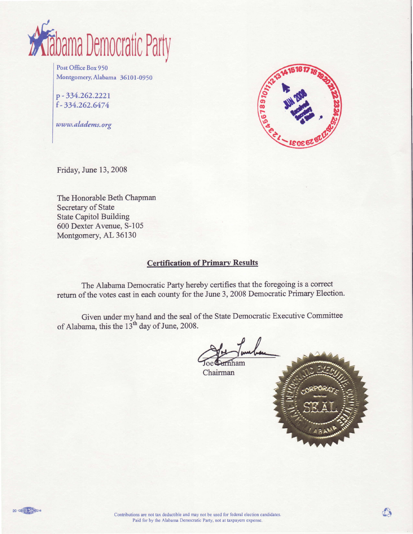

Post Office Box 950 Montgomery, Alabama 36101-0950

p - 334.262.2221 f -334.262.6474

www.aladems.org



Friday, June 13, 2008

The Honorable Beth Chapman Secretary of State State Capitol Building 600 Dexter Avenue, 5-105 Montgomery, AL 36130

#### Certification of Primarv Results

The Alabama Democratic Party hereby certifies that the foregoing is a correct return of the votes cast in each county for the June 3, 2008 Democratic Primary Election.

Given under my hand and the seal of the State Dernocratic Executive Committee of Alabama, this the 13<sup>th</sup> day of June, 2008.

Chairman

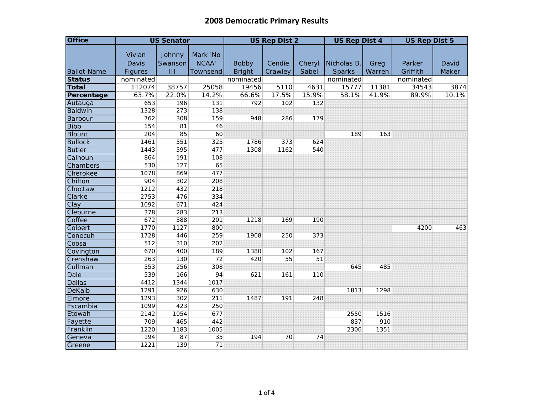| <b>Office</b>      | <b>US Senator</b> |                   |                   |               | <b>US Rep Dist 2</b> |        | <b>US Rep Dist 4</b> |        | <b>US Rep Dist 5</b> |       |
|--------------------|-------------------|-------------------|-------------------|---------------|----------------------|--------|----------------------|--------|----------------------|-------|
|                    | Vivian<br>Davis   | Johnny<br>Swanson | Mark 'No<br>NCAA' | <b>Bobby</b>  | Cendie               | Cheryl | Nicholas B.          | Greg   | Parker               | David |
| <b>Ballot Name</b> | <b>Figures</b>    | $\mathbf{H}$      | <b>Townsend</b>   | <b>Bright</b> | Crawley              | Sabel  | <b>Sparks</b>        | Warren | Griffith             | Maker |
| <b>Status</b>      | nominated         |                   |                   | nominated     |                      |        | nominated            |        | nominated            |       |
| <b>Total</b>       | 112074            | 38757             | 25058             | 19456         | 5110                 | 4631   | 15777                | 11381  | 34543                | 3874  |
| Percentage         | 63.7%             | 22.0%             | 14.2%             | 66.6%         | 17.5%                | 15.9%  | 58.1%                | 41.9%  | 89.9%                | 10.1% |
| Autauga            | 653               | 196               | 131               | 792           | 102                  | 132    |                      |        |                      |       |
| <b>Baldwin</b>     | 1328              | 273               | 138               |               |                      |        |                      |        |                      |       |
| Barbour            | 762               | 308               | 159               | 948           | 286                  | 179    |                      |        |                      |       |
| <b>Bibb</b>        | 154               | 81                | 46                |               |                      |        |                      |        |                      |       |
| <b>Blount</b>      | 204               | 85                | 60                |               |                      |        | 189                  | 163    |                      |       |
| <b>Bullock</b>     | 1461              | 551               | 325               | 1786          | 373                  | 624    |                      |        |                      |       |
| <b>Butler</b>      | 1443              | 595               | 477               | 1308          | 1162                 | 540    |                      |        |                      |       |
| Calhoun            | 864               | 191               | 108               |               |                      |        |                      |        |                      |       |
| Chambers           | 530               | 127               | 65                |               |                      |        |                      |        |                      |       |
| Cherokee           | 1078              | 869               | 477               |               |                      |        |                      |        |                      |       |
| Chilton            | 904               | 302               | 208               |               |                      |        |                      |        |                      |       |
| Choctaw            | 1212              | 432               | 218               |               |                      |        |                      |        |                      |       |
| Clarke             | 2753              | 476               | 334               |               |                      |        |                      |        |                      |       |
| Clay               | 1092              | 671               | 424               |               |                      |        |                      |        |                      |       |
| Cleburne           | 378               | 283               | 213               |               |                      |        |                      |        |                      |       |
| Coffee             | 672               | 388               | 201               | 1218          | 169                  | 190    |                      |        |                      |       |
| Colbert            | 1770              | 1127              | 800               |               |                      |        |                      |        | 4200                 | 463   |
| Conecuh            | 1728              | 446               | 259               | 1908          | 250                  | 373    |                      |        |                      |       |
| Coosa              | 512               | 310               | 202               |               |                      |        |                      |        |                      |       |
| Covington          | 670               | 400               | 189               | 1380          | 102                  | 167    |                      |        |                      |       |
| Crenshaw           | 263               | 130               | 72                | 420           | 55                   | 51     |                      |        |                      |       |
| Cullman            | 553               | 256               | 308               |               |                      |        | 645                  | 485    |                      |       |
| <b>Dale</b>        | 539               | 166               | 94                | 621           | 161                  | 110    |                      |        |                      |       |
| <b>Dallas</b>      | 4412              | 1344              | 1017              |               |                      |        |                      |        |                      |       |
| <b>DeKalb</b>      | 1291              | 926               | 630               |               |                      |        | 1813                 | 1298   |                      |       |
| Elmore             | 1293              | 302               | 211               | 1487          | 191                  | 248    |                      |        |                      |       |
| Escambia           | 1099              | 423               | 250               |               |                      |        |                      |        |                      |       |
| Etowah             | 2142              | 1054              | 677               |               |                      |        | 2550                 | 1516   |                      |       |
| Fayette            | 709               | 465               | 442               |               |                      |        | 837                  | 910    |                      |       |
| Franklin           | 1220              | 1183              | 1005              |               |                      |        | 2306                 | 1351   |                      |       |
| Geneva             | 194               | 87                | 35                | 194           | 70                   | 74     |                      |        |                      |       |
| Greene             | 1221              | 139               | 71                |               |                      |        |                      |        |                      |       |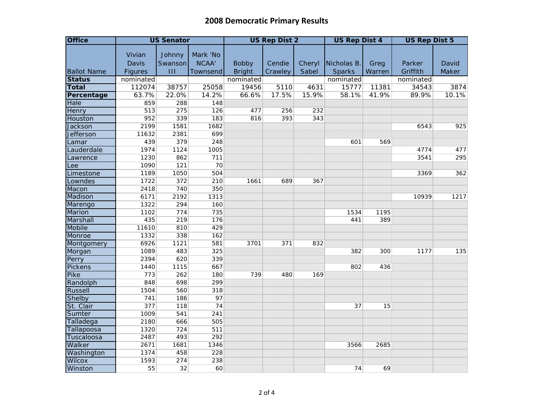| <b>Office</b>                 | <b>US Senator</b> |                 |                 |               | <b>US Rep Dist 2</b> |        | <b>US Rep Dist 4</b> |        | <b>US Rep Dist 5</b> |       |
|-------------------------------|-------------------|-----------------|-----------------|---------------|----------------------|--------|----------------------|--------|----------------------|-------|
|                               | Vivian            | Johnny          | Mark 'No        |               |                      |        |                      |        |                      |       |
|                               | <b>Davis</b>      | Swanson         | NCAA'           | <b>Bobby</b>  | Cendie               | Cheryl | Nicholas B.          | Greg   | Parker               | David |
| <b>Ballot Name</b>            | <b>Figures</b>    | $\mathbf{III}$  | Townsend        | <b>Bright</b> | Crawley              | Sabel  | <b>Sparks</b>        | Warren | Griffith             | Maker |
| <b>Status</b>                 | nominated         |                 |                 | nominated     |                      |        | nominated            |        | nominated            |       |
| <b>Total</b>                  | 112074            | 38757           | 25058           | 19456         | 5110                 | 4631   | 15777                | 11381  | 34543                | 3874  |
| Percentage                    | 63.7%             | 22.0%           | 14.2%           | 66.6%         | 17.5%                | 15.9%  | 58.1%                | 41.9%  | 89.9%                | 10.1% |
| <b>Hale</b>                   | 859               | 288             | 148             |               |                      |        |                      |        |                      |       |
| Henry                         | 513               | 275             | 126             | 477           | 256                  | 232    |                      |        |                      |       |
| Houston                       | 952               | 339             | 183             | 816           | 393                  | 343    |                      |        |                      |       |
| <b>Jackson</b>                | 2199              | 1581            | 1682            |               |                      |        |                      |        | 6543                 | 925   |
| <b>Jefferson</b>              | 11632             | 2381            | 699             |               |                      |        |                      |        |                      |       |
| Lamar                         | 439               | 379             | 248             |               |                      |        | 601                  | 569    |                      |       |
| Lauderdale                    | 1974              | 1124            | 1005            |               |                      |        |                      |        | 4774                 | 477   |
| Lawrence                      | 1230              | 862             | 711             |               |                      |        |                      |        | 3541                 | 295   |
| Lee                           | 1090              | 121             | 70              |               |                      |        |                      |        |                      |       |
| Limestone                     | 1189              | 1050            | 504             |               |                      |        |                      |        | 3369                 | 362   |
| Lowndes                       | 1722              | 372             | 210             | 1661          | 689                  | 367    |                      |        |                      |       |
| Macon                         | 2418              | 740             | 350             |               |                      |        |                      |        |                      |       |
| Madison                       | 6171              | 2192            | 1313            |               |                      |        |                      |        | 10939                | 1217  |
| Marengo                       | 1322              | 294             | 160             |               |                      |        |                      |        |                      |       |
| Marion                        | 1102              | 774             | 735             |               |                      |        | 1534                 | 1195   |                      |       |
| Marshall                      | 435               | 219             | 176             |               |                      |        | 441                  | 389    |                      |       |
| Mobile                        | 11610             | 810             | 429             |               |                      |        |                      |        |                      |       |
| Monroe                        | 1332              | 338             | 162             |               |                      |        |                      |        |                      |       |
| Montgomery                    | 6926              | 1121            | 581             | 3701          | 371                  | 832    |                      |        |                      |       |
| Morgan                        | 1089              | 483             | 325             |               |                      |        | 382                  | 300    | 1177                 | 135   |
| Perry                         | 2394              | 620             | 339             |               |                      |        |                      |        |                      |       |
| <b>Pickens</b><br><b>Pike</b> | 1440<br>773       | 1115<br>262     | 667<br>180      | 739           | 480                  | 169    | 802                  | 436    |                      |       |
| Randolph                      | 848               | 698             | 299             |               |                      |        |                      |        |                      |       |
| <b>Russell</b>                | 1504              | 560             | 318             |               |                      |        |                      |        |                      |       |
| Shelby                        | 741               | 186             | 97              |               |                      |        |                      |        |                      |       |
| St. Clair                     | 377               | 118             | $\overline{74}$ |               |                      |        | 37                   | 15     |                      |       |
| Sumter                        | 1009              | 541             | 241             |               |                      |        |                      |        |                      |       |
| Talladega                     | 2180              | 666             | 505             |               |                      |        |                      |        |                      |       |
| Tallapoosa                    | 1320              | 724             | 511             |               |                      |        |                      |        |                      |       |
| Tuscaloosa                    | 2487              | 493             | 292             |               |                      |        |                      |        |                      |       |
| Walker                        | 2671              | 1681            | 1346            |               |                      |        | 3566                 | 2685   |                      |       |
| Washington                    | 1374              | 458             | 228             |               |                      |        |                      |        |                      |       |
| Wilcox                        | 1593              | 274             | 238             |               |                      |        |                      |        |                      |       |
| Winston                       | 55                | $\overline{32}$ | 60              |               |                      |        | 74                   | 69     |                      |       |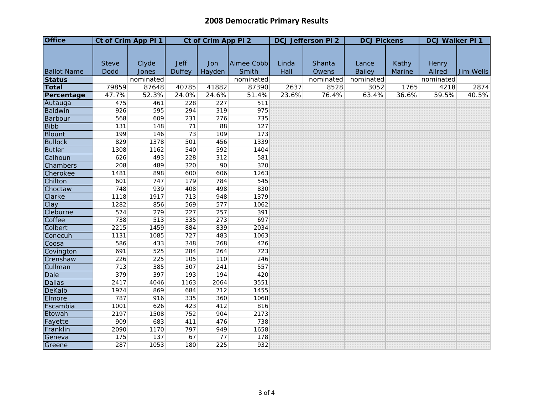| <b>Office</b>      | Ct of Crim App PI 1 |           | Ct of Crim App PI 2 |        |            |       | <b>DCJ Jefferson PI 2</b> | <b>DCJ Pickens</b> |        | <b>DCJ Walker PI 1</b> |           |
|--------------------|---------------------|-----------|---------------------|--------|------------|-------|---------------------------|--------------------|--------|------------------------|-----------|
|                    |                     |           |                     |        |            |       |                           |                    |        |                        |           |
|                    |                     |           |                     |        |            |       |                           |                    |        |                        |           |
|                    | <b>Steve</b>        | Clyde     | <b>Jeff</b>         | Jon    | Aimee Cobb | Linda | Shanta                    | Lance              | Kathy  | Henry                  |           |
| <b>Ballot Name</b> | Dodd                | Jones     | <b>Duffey</b>       | Hayden | Smith      | Hall  | Owens                     | <b>Bailey</b>      | Marine | Allred                 | Jim Wells |
| <b>Status</b>      |                     | nominated |                     |        | nominated  |       | nominated                 | nominated          |        | nominated              |           |
| <b>Total</b>       | 79859               | 87648     | 40785               | 41882  | 87390      | 2637  | 8528                      | 3052               | 1765   | 4218                   | 2874      |
| Percentage         | 47.7%               | 52.3%     | 24.0%               | 24.6%  | 51.4%      | 23.6% | 76.4%                     | 63.4%              | 36.6%  | 59.5%                  | 40.5%     |
| Autauga            | 475                 | 461       | 228                 | 227    | 511        |       |                           |                    |        |                        |           |
| Baldwin            | 926                 | 595       | 294                 | 319    | 975        |       |                           |                    |        |                        |           |
| Barbour            | 568                 | 609       | 231                 | 276    | 735        |       |                           |                    |        |                        |           |
| <b>Bibb</b>        | 131                 | 148       | 71                  | 88     | 127        |       |                           |                    |        |                        |           |
| <b>Blount</b>      | 199                 | 146       | 73                  | 109    | 173        |       |                           |                    |        |                        |           |
| <b>Bullock</b>     | 829                 | 1378      | 501                 | 456    | 1339       |       |                           |                    |        |                        |           |
| <b>Butler</b>      | 1308                | 1162      | 540                 | 592    | 1404       |       |                           |                    |        |                        |           |
| Calhoun            | 626                 | 493       | 228                 | 312    | 581        |       |                           |                    |        |                        |           |
| Chambers           | 208                 | 489       | 320                 | 90     | 320        |       |                           |                    |        |                        |           |
| Cherokee           | 1481                | 898       | 600                 | 606    | 1263       |       |                           |                    |        |                        |           |
| Chilton            | 601                 | 747       | 179                 | 784    | 545        |       |                           |                    |        |                        |           |
| Choctaw            | 748                 | 939       | 408                 | 498    | 830        |       |                           |                    |        |                        |           |
| Clarke             | 1118                | 1917      | 713                 | 948    | 1379       |       |                           |                    |        |                        |           |
| Clay               | 1282                | 856       | 569                 | 577    | 1062       |       |                           |                    |        |                        |           |
| Cleburne           | 574                 | 279       | 227                 | 257    | 391        |       |                           |                    |        |                        |           |
| Coffee             | 738                 | 513       | 335                 | 273    | 697        |       |                           |                    |        |                        |           |
| Colbert            | 2215                | 1459      | 884                 | 839    | 2034       |       |                           |                    |        |                        |           |
| Conecuh            | 1131                | 1085      | 727                 | 483    | 1063       |       |                           |                    |        |                        |           |
| Coosa              | 586                 | 433       | 348                 | 268    | 426        |       |                           |                    |        |                        |           |
| Covington          | 691                 | 525       | 284                 | 264    | 723        |       |                           |                    |        |                        |           |
| Crenshaw           | 226                 | 225       | 105                 | 110    | 246        |       |                           |                    |        |                        |           |
| Cullman            | 713                 | 385       | 307                 | 241    | 557        |       |                           |                    |        |                        |           |
| <b>Dale</b>        | 379                 | 397       | 193                 | 194    | 420        |       |                           |                    |        |                        |           |
| <b>Dallas</b>      | 2417                | 4046      | 1163                | 2064   | 3551       |       |                           |                    |        |                        |           |
| <b>DeKalb</b>      | 1974                | 869       | 684                 | 712    | 1455       |       |                           |                    |        |                        |           |
| Elmore             | 787                 | 916       | 335                 | 360    | 1068       |       |                           |                    |        |                        |           |
| Escambia           | 1001                | 626       | 423                 | 412    | 816        |       |                           |                    |        |                        |           |
| Etowah             | 2197                | 1508      | 752                 | 904    | 2173       |       |                           |                    |        |                        |           |
| Fayette            | 909                 | 683       | 411                 | 476    | 738        |       |                           |                    |        |                        |           |
| Franklin           | 2090                | 1170      | 797                 | 949    | 1658       |       |                           |                    |        |                        |           |
| Geneva             | 175                 | 137       | 67                  | 77     | 178        |       |                           |                    |        |                        |           |
| Greene             | 287                 | 1053      | 180                 | 225    | 932        |       |                           |                    |        |                        |           |